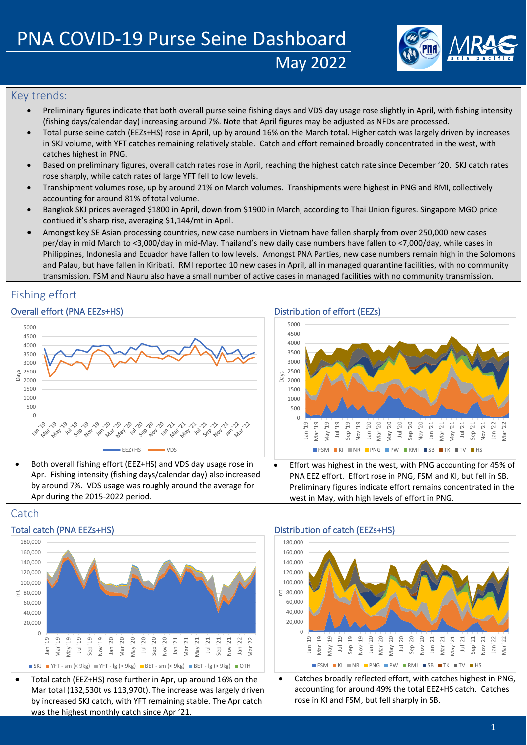

## Key trends:

• Preliminary figures indicate that both overall purse seine fishing days and VDS day usage rose slightly in April, with fishing intensity (fishing days/calendar day) increasing around 7%. Note that April figures may be adjusted as NFDs are processed.

May 2022

- Total purse seine catch (EEZs+HS) rose in April, up by around 16% on the March total. Higher catch was largely driven by increases in SKJ volume, with YFT catches remaining relatively stable. Catch and effort remained broadly concentrated in the west, with catches highest in PNG.
- Based on preliminary figures, overall catch rates rose in April, reaching the highest catch rate since December '20. SKJ catch rates rose sharply, while catch rates of large YFT fell to low levels.
- Transhipment volumes rose, up by around 21% on March volumes. Transhipments were highest in PNG and RMI, collectively accounting for around 81% of total volume.
- Bangkok SKJ prices averaged \$1800 in April, down from \$1900 in March, according to Thai Union figures. Singapore MGO price contiued it's sharp rise, averaging \$1,144/mt in April.
- Amongst key SE Asian processing countries, new case numbers in Vietnam have fallen sharply from over 250,000 new cases per/day in mid March to <3,000/day in mid-May. Thailand's new daily case numbers have fallen to <7,000/day, while cases in Philippines, Indonesia and Ecuador have fallen to low levels. Amongst PNA Parties, new case numbers remain high in the Solomons and Palau, but have fallen in Kiribati. RMI reported 10 new cases in April, all in managed quarantine facilities, with no community transmission. FSM and Nauru also have a small number of active cases in managed facilities with no community transmission.

## Fishing effort

### Overall effort (PNA EEZs+HS) Distribution of effort (EEZs)



• Both overall fishing effort (EEZ+HS) and VDS day usage rose in Apr. Fishing intensity (fishing days/calendar day) also increased by around 7%. VDS usage was roughly around the average for Apr during the 2015-2022 period.



• Effort was highest in the west, with PNG accounting for 45% of PNA EEZ effort. Effort rose in PNG, FSM and KI, but fell in SB. Preliminary figures indicate effort remains concentrated in the west in May, with high levels of effort in PNG.

## **Catch**



• Total catch (EEZ+HS) rose further in Apr, up around 16% on the Mar total (132,530t vs 113,970t). The increase was largely driven by increased SKJ catch, with YFT remaining stable. The Apr catch was the highest monthly catch since Apr '21.

### Total catch (PNA EEZs+HS) Total catch (EEZs+HS) Distribution of catch (EEZs+HS)



• Catches broadly reflected effort, with catches highest in PNG, accounting for around 49% the total EEZ+HS catch. Catches rose in KI and FSM, but fell sharply in SB.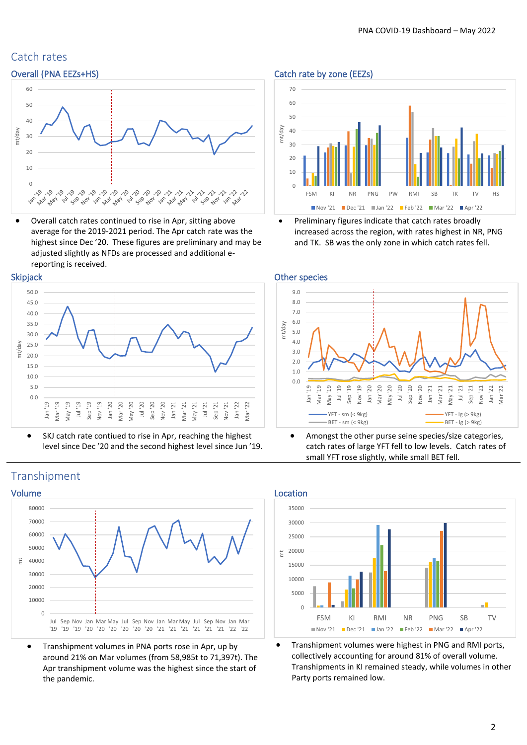# Catch rates



• Overall catch rates continued to rise in Apr, sitting above average for the 2019-2021 period. The Apr catch rate was the highest since Dec '20. These figures are preliminary and may be adjusted slightly as NFDs are processed and additional ereporting is received.



• SKJ catch rate contiued to rise in Apr, reaching the highest level since Dec '20 and the second highest level since Jun '19.

Overall (PNA EEZs+HS) Catch rate by zone (EEZs)



• Preliminary figures indicate that catch rates broadly increased across the region, with rates highest in NR, PNG and TK. SB was the only zone in which catch rates fell.



• Amongst the other purse seine species/size categories, catch rates of large YFT fell to low levels. Catch rates of small YFT rose slightly, while small BET fell.



• Transhipment volumes were highest in PNG and RMI ports, collectively accounting for around 81% of overall volume. Transhipments in KI remained steady, while volumes in other Party ports remained low.

## Transhipment



• Transhipment volumes in PNA ports rose in Apr, up by around 21% on Mar volumes (from 58,985t to 71,397t). The Apr transhipment volume was the highest since the start of the pandemic.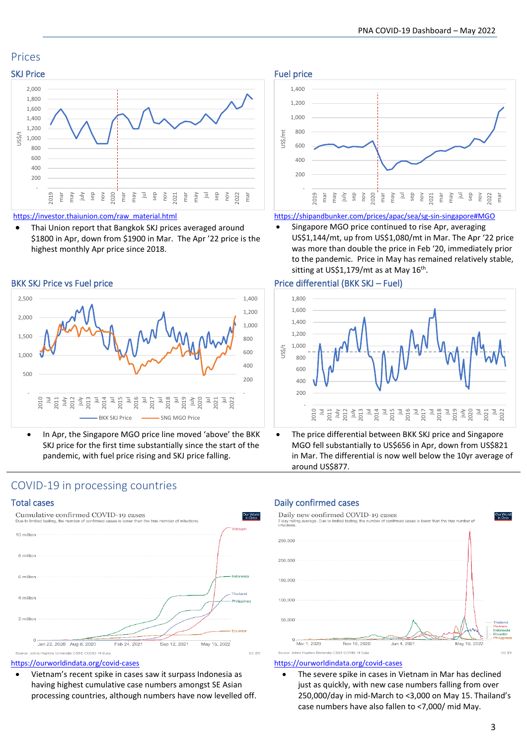## Prices





[https://investor.thaiunion.com/raw\\_material.html](https://investor.thaiunion.com/raw_material.html)

• Thai Union report that Bangkok SKJ prices averaged around \$1800 in Apr, down from \$1900 in Mar. The Apr '22 price is the highest monthly Apr price since 2018.





• In Apr, the Singapore MGO price line moved 'above' the BKK SKJ price for the first time substantially since the start of the pandemic, with fuel price rising and SKJ price falling.



<https://shipandbunker.com/prices/apac/sea/sg-sin-singapore#MGO>

Singapore MGO price continued to rise Apr, averaging US\$1,144/mt, up from US\$1,080/mt in Mar. The Apr '22 price was more than double the price in Feb '20, immediately prior to the pandemic. Price in May has remained relatively stable, sitting at US\$1,179/mt as at May 16<sup>th</sup>.

#### BKK SKJ Price vs Fuel price Price Price differential (BKK SKJ – Fuel)



The price differential between BKK SKJ price and Singapore MGO fell substantially to US\$656 in Apr, down from US\$821 in Mar. The differential is now well below the 10yr average of around US\$877.

## COVID-19 in processing countries



<https://ourworldindata.org/covid-cases>

• Vietnam's recent spike in cases saw it surpass Indonesia as having highest cumulative case numbers amongst SE Asian processing countries, although numbers have now levelled off.

### Total cases **Daily confirmed cases** Daily confirmed cases



#### <https://ourworldindata.org/covid-cases>

The severe spike in cases in Vietnam in Mar has declined just as quickly, with new case numbers falling from over 250,000/day in mid-March to <3,000 on May 15. Thailand's case numbers have also fallen to <7,000/ mid May.